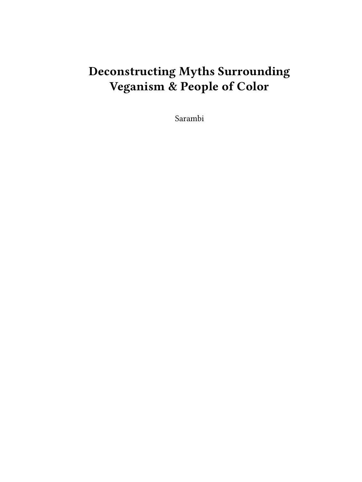# **Deconstructing Myths Surrounding Veganism & People of Color**

Sarambi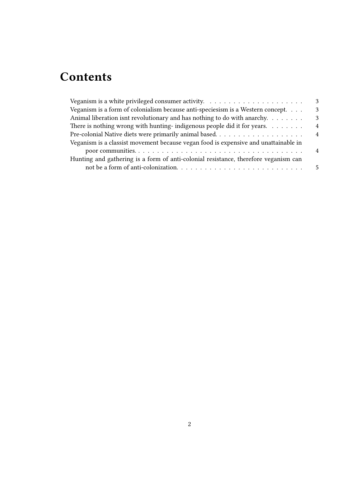## **Contents**

| Veganism is a white privileged consumer activity. $\dots \dots \dots \dots \dots \dots \dots$ | 3              |
|-----------------------------------------------------------------------------------------------|----------------|
| Veganism is a form of colonialism because anti-speciesism is a Western concept.               | 3              |
| Animal liberation isnt revolutionary and has nothing to do with anarchy. $\dots \dots$        | 3              |
| There is nothing wrong with hunting-indigenous people did it for years.                       | $\overline{4}$ |
|                                                                                               | $\overline{4}$ |
| Veganism is a classist movement because vegan food is expensive and unattainable in           |                |
|                                                                                               | $\overline{4}$ |
| Hunting and gathering is a form of anti-colonial resistance, therefore veganism can           |                |
|                                                                                               | -5             |
|                                                                                               |                |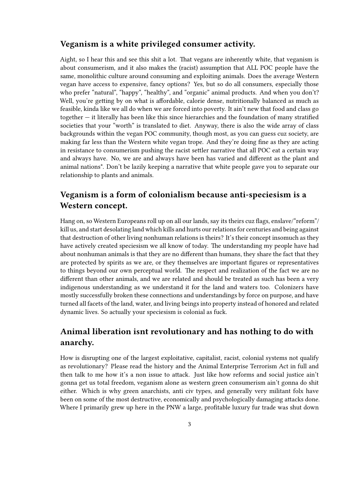#### <span id="page-2-0"></span>**Veganism is a white privileged consumer activity.**

Aight, so I hear this and see this shit a lot. That vegans are inherently white, that veganism is about consumerism, and it also makes the (racist) assumption that ALL POC people have the same, monolithic culture around consuming and exploiting animals. Does the average Western vegan have access to expensive, fancy options? Yes, but so do all consumers, especially those who prefer "natural", "happy", "healthy", and "organic" animal products. And when you don't? Well, you're getting by on what is affordable, calorie dense, nutritionally balanced as much as feasible, kinda like we all do when we are forced into poverty. It ain't new that food and class go together — it literally has been like this since hierarchies and the foundation of many stratified societies that your "worth" is translated to diet. Anyway, there is also the wide array of class backgrounds within the vegan POC community, though most, as you can guess cuz society, are making far less than the Western white vegan trope. And they're doing fine as they are acting in resistance to consumerism pushing the racist settler narrative that all POC eat a certain way and always have. No, we are and always have been has varied and different as the plant and animal nations\*. Don't be lazily keeping a narrative that white people gave you to separate our relationship to plants and animals.

### <span id="page-2-1"></span>**Veganism is a form of colonialism because anti-speciesism is a Western concept.**

Hang on, so Western Europeans roll up on all our lands, say its theirs cuz flags, enslave/"reform"/ kill us, and start desolating land which kills and hurts our relations for centuries and being against that destruction of other living nonhuman relations is theirs? It's their concept insomuch as they have actively created speciesism we all know of today. The understanding my people have had about nonhuman animals is that they are no different than humans, they share the fact that they are protected by spirits as we are, or they themselves are important figures or representatives to things beyond our own perceptual world. The respect and realization of the fact we are no different than other animals, and we are related and should be treated as such has been a very indigenous understanding as we understand it for the land and waters too. Colonizers have mostly successfully broken these connections and understandings by force on purpose, and have turned all facets of the land, water, and living beings into property instead of honored and related dynamic lives. So actually your speciesism is colonial as fuck.

## <span id="page-2-2"></span>**Animal liberation isnt revolutionary and has nothing to do with anarchy.**

How is disrupting one of the largest exploitative, capitalist, racist, colonial systems not qualify as revolutionary? Please read the history and the Animal Enterprise Terrorism Act in full and then talk to me how it's a non issue to attack. Just like how reforms and social justice ain't gonna get us total freedom, veganism alone as western green consumerism ain't gonna do shit either. Which is why green anarchists, anti civ types, and generally very militant folx have been on some of the most destructive, economically and psychologically damaging attacks done. Where I primarily grew up here in the PNW a large, profitable luxury fur trade was shut down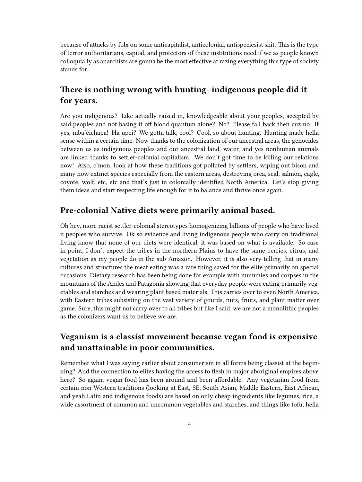because of attacks by folx on some anticapitalist, anticolonial, antispeciesist shit. This is the type of terror authoritarians, capital, and protectors of these institutions need if we as people known colloquially as anarchists are gonna be the most effective at razing everything this type of society stands for.

### <span id="page-3-0"></span>**There is nothing wrong with hunting- indigenous people did it for years.**

Are you indigenous? Like actually raised in, knowledgeable about your peoples, accepted by said peoples and not basing it off blood quantum alone? No? Please fall back then cuz no. If yes, mba'éichapa! Ha upei? We gotta talk, cool? Cool, so about hunting. Hunting made hella sense within a certain time. Now thanks to the colonization of our ancestral areas, the genocides between us as indigenous peoples and our ancestral land, water, and yes nonhuman animals are linked thanks to settler-colonial capitalism. We don't got time to be killing our relations now! Also, c'mon, look at how these traditions got polluted by settlers, wiping out bison and many now extinct species especially from the eastern areas, destroying orca, seal, salmon, eagle, coyote, wolf, etc, etc and that's just in colonially identified North America. Let's stop giving them ideas and start respecting life enough for it to balance and thrive once again.

#### <span id="page-3-1"></span>**Pre-colonial Native diets were primarily animal based.**

Oh hey, more racist settler-colonial stereotypes homogenizing billions of people who have lived n peoples who survive. Ok so evidence and living indigenous people who carry on traditional living know that none of our diets were identical, it was based on what is available. So case in point, I don't expect the tribes in the northern Plains to have the same berries, citrus, and vegetation as my people do in the sub Amazon. However, it is also very telling that in many cultures and structures the meat eating was a rare thing saved for the elite primarily on special occasions. Dietary research has been being done for example with mummies and corpses in the mountains of the Andes and Patagonia showing that everyday people were eating primarily vegetables and starches and wearing plant based materials. This carries over to even North America, with Eastern tribes subsisting on the vast variety of gourds, nuts, fruits, and plant matter over game. Sure, this might not carry over to all tribes but like I said, we are not a monolithic peoples as the colonizers want us to believe we are.

## <span id="page-3-2"></span>**Veganism is a classist movement because vegan food is expensive and unattainable in poor communities.**

Remember what I was saying earlier about consumerism in all forms being classist at the beginning? And the connection to elites having the access to flesh in major aboriginal empires above here? So again, vegan food has been around and been affordable. Any vegetarian food from certain non Western traditions (looking at East, SE, South Asian, Middle Eastern, East African, and yeah Latin and indigenous foods) are based on only cheap ingredients like legumes, rice, a wide assortment of common and uncommon vegetables and starches, and things like tofu, hella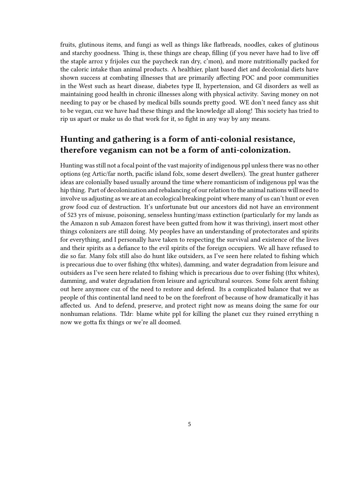fruits, glutinous items, and fungi as well as things like flatbreads, noodles, cakes of glutinous and starchy goodness. Thing is, these things are cheap, filling (if you never have had to live off the staple arroz y frijoles cuz the paycheck ran dry, c'mon), and more nutritionally packed for the caloric intake than animal products. A healthier, plant based diet and decolonial diets have shown success at combating illnesses that are primarily affecting POC and poor communities in the West such as heart disease, diabetes type II, hypertension, and GI disorders as well as maintaining good health in chronic illnesses along with physical activity. Saving money on not needing to pay or be chased by medical bills sounds pretty good. WE don't need fancy ass shit to be vegan, cuz we have had these things and the knowledge all along! This society has tried to rip us apart or make us do that work for it, so fight in any way by any means.

## <span id="page-4-0"></span>**Hunting and gathering is a form of anti-colonial resistance, therefore veganism can not be a form of anti-colonization.**

Hunting was still not a focal point of the vast majority of indigenous ppl unless there was no other options (eg Artic/far north, pacific island folx, some desert dwellers). The great hunter gatherer ideas are colonially based usually around the time where romanticism of indigenous ppl was the hip thing. Part of decolonization and rebalancing of our relation to the animal nations will need to involve us adjusting as we are at an ecological breaking point where many of us can't hunt or even grow food cuz of destruction. It's unfortunate but our ancestors did not have an environment of 523 yrs of misuse, poisoning, senseless hunting/mass extinction (particularly for my lands as the Amazon n sub Amazon forest have been gutted from how it was thriving), insert most other things colonizers are still doing. My peoples have an understanding of protectorates and spirits for everything, and I personally have taken to respecting the survival and existence of the lives and their spirits as a defiance to the evil spirits of the foreign occupiers. We all have refused to die so far. Many folx still also do hunt like outsiders, as I've seen here related to fishing which is precarious due to over fishing (thx whites), damming, and water degradation from leisure and outsiders as I've seen here related to fishing which is precarious due to over fishing (thx whites), damming, and water degradation from leisure and agricultural sources. Some folx arent fishing out here anymore cuz of the need to restore and defend. Its a complicated balance that we as people of this continental land need to be on the forefront of because of how dramatically it has affected us. And to defend, preserve, and protect right now as means doing the same for our nonhuman relations. Tldr: blame white ppl for killing the planet cuz they ruined errything n now we gotta fix things or we're all doomed.